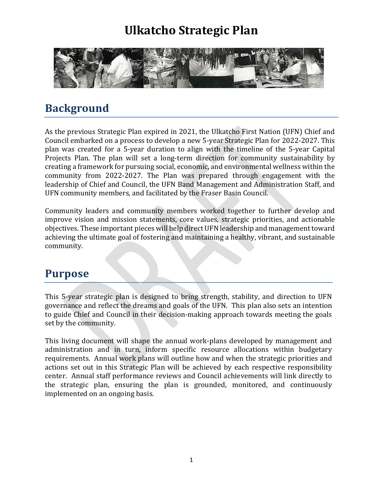

#### **Background**

As the previous Strategic Plan expired in 2021, the Ulkatcho First Nation (UFN) Chief and Council embarked on a process to develop a new 5-year Strategic Plan for 2022-2027. This plan was created for a 5-year duration to align with the timeline of the 5-year Capital Projects Plan. The plan will set a long-term direction for community sustainability by creating a framework for pursuing social, economic, and environmental wellness within the community from 2022-2027. The Plan was prepared through engagement with the leadership of Chief and Council, the UFN Band Management and Administration Staff, and UFN community members, and facilitated by the Fraser Basin Council.

Community leaders and community members worked together to further develop and improve vision and mission statements, core values, strategic priorities, and actionable objectives. These important pieces will help direct UFN leadership and management toward achieving the ultimate goal of fostering and maintaining a healthy, vibrant, and sustainable community.

#### **Purpose**

This 5-year strategic plan is designed to bring strength, stability, and direction to UFN governance and reflect the dreams and goals of the UFN. This plan also sets an intention to guide Chief and Council in their decision-making approach towards meeting the goals set by the community.

This living document will shape the annual work-plans developed by management and administration and in turn, inform specific resource allocations within budgetary requirements. Annual work plans will outline how and when the strategic priorities and actions set out in this Strategic Plan will be achieved by each respective responsibility center. Annual staff performance reviews and Council achievements will link directly to the strategic plan, ensuring the plan is grounded, monitored, and continuously implemented on an ongoing basis.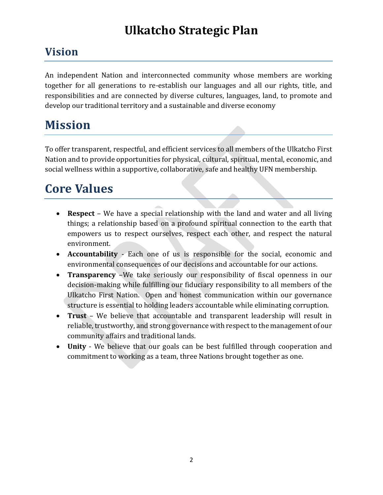#### **Vision**

An independent Nation and interconnected community whose members are working together for all generations to re-establish our languages and all our rights, title, and responsibilities and are connected by diverse cultures, languages, land, to promote and develop our traditional territory and a sustainable and diverse economy

## **Mission**

To offer transparent, respectful, and efficient services to all members of the Ulkatcho First Nation and to provide opportunities for physical, cultural, spiritual, mental, economic, and social wellness within a supportive, collaborative, safe and healthy UFN membership.

### **Core Values**

- **Respect**  We have a special relationship with the land and water and all living things; a relationship based on a profound spiritual connection to the earth that empowers us to respect ourselves, respect each other, and respect the natural environment.
- **Accountability** Each one of us is responsible for the social, economic and environmental consequences of our decisions and accountable for our actions.
- **Transparency** –We take seriously our responsibility of fiscal openness in our decision-making while fulfilling our fiduciary responsibility to all members of the Ulkatcho First Nation. Open and honest communication within our governance structure is essential to holding leaders accountable while eliminating corruption.
- **Trust**  We believe that accountable and transparent leadership will result in reliable, trustworthy, and strong governance with respect to the management of our community affairs and traditional lands.
- **Unity**  We believe that our goals can be best fulfilled through cooperation and commitment to working as a team, three Nations brought together as one.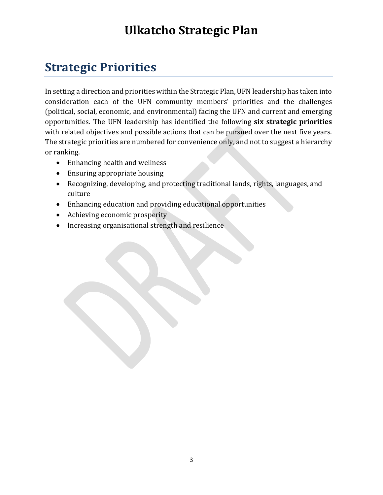#### **Strategic Priorities**

In setting a direction and priorities within the Strategic Plan, UFN leadership has taken into consideration each of the UFN community members' priorities and the challenges (political, social, economic, and environmental) facing the UFN and current and emerging opportunities. The UFN leadership has identified the following **six strategic priorities** with related objectives and possible actions that can be pursued over the next five years. The strategic priorities are numbered for convenience only, and not to suggest a hierarchy or ranking.

- Enhancing health and wellness
- Ensuring appropriate housing
- Recognizing, developing, and protecting traditional lands, rights, languages, and culture
- Enhancing education and providing educational opportunities
- Achieving economic prosperity
- Increasing organisational strength and resilience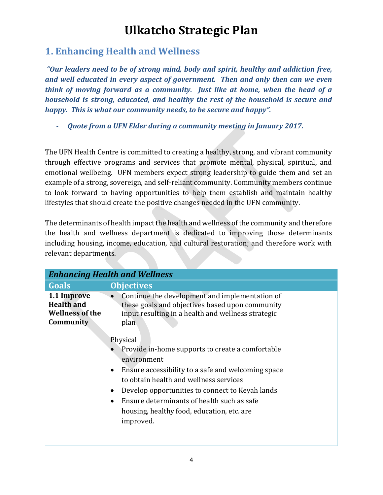#### **1. Enhancing Health and Wellness**

*"Our leaders need to be of strong mind, body and spirit, healthy and addiction free, and well educated in every aspect of government. Then and only then can we even think of moving forward as a community. Just like at home, when the head of a household is strong, educated, and healthy the rest of the household is secure and happy. This is what our community needs, to be secure and happy".* 

- *Quote from a UFN Elder during a community meeting in January 2017.*

The UFN Health Centre is committed to creating a healthy, strong, and vibrant community through effective programs and services that promote mental, physical, spiritual, and emotional wellbeing. UFN members expect strong leadership to guide them and set an example of a strong, sovereign, and self-reliant community. Community members continue to look forward to having opportunities to help them establish and maintain healthy lifestyles that should create the positive changes needed in the UFN community.

The determinants of health impact the health and wellness of the community and therefore the health and wellness department is dedicated to improving those determinants including housing, income, education, and cultural restoration; and therefore work with relevant departments.

|                                                                         | <b>Enhancing Health and Wellness</b>                                                                                                                                                                                                                                                                                                                                           |
|-------------------------------------------------------------------------|--------------------------------------------------------------------------------------------------------------------------------------------------------------------------------------------------------------------------------------------------------------------------------------------------------------------------------------------------------------------------------|
| Goals                                                                   | <b>Objectives</b>                                                                                                                                                                                                                                                                                                                                                              |
| 1.1 Improve<br><b>Health and</b><br><b>Wellness of the</b><br>Community | Continue the development and implementation of<br>these goals and objectives based upon community<br>input resulting in a health and wellness strategic<br>plan                                                                                                                                                                                                                |
|                                                                         | Physical<br>Provide in-home supports to create a comfortable<br>environment<br>Ensure accessibility to a safe and welcoming space<br>$\bullet$<br>to obtain health and wellness services<br>Develop opportunities to connect to Keyah lands<br>$\bullet$<br>Ensure determinants of health such as safe<br>$\bullet$<br>housing, healthy food, education, etc. are<br>improved. |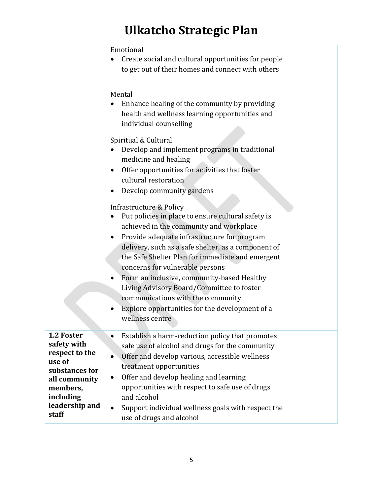|                                                                                                                                              | Emotional<br>Create social and cultural opportunities for people<br>to get out of their homes and connect with others                                                                                                                                                                                                                                                                                                                                                                                                                                                                                                                                                                                                                                                                                                                                                     |
|----------------------------------------------------------------------------------------------------------------------------------------------|---------------------------------------------------------------------------------------------------------------------------------------------------------------------------------------------------------------------------------------------------------------------------------------------------------------------------------------------------------------------------------------------------------------------------------------------------------------------------------------------------------------------------------------------------------------------------------------------------------------------------------------------------------------------------------------------------------------------------------------------------------------------------------------------------------------------------------------------------------------------------|
|                                                                                                                                              | Mental<br>Enhance healing of the community by providing<br>health and wellness learning opportunities and<br>individual counselling<br>Spiritual & Cultural<br>Develop and implement programs in traditional<br>medicine and healing<br>Offer opportunities for activities that foster<br>cultural restoration<br>Develop community gardens<br>Infrastructure & Policy<br>Put policies in place to ensure cultural safety is<br>achieved in the community and workplace<br>Provide adequate infrastructure for program<br>delivery, such as a safe shelter, as a component of<br>the Safe Shelter Plan for immediate and emergent<br>concerns for vulnerable persons<br>Form an inclusive, community-based Healthy<br>Living Advisory Board/Committee to foster<br>communications with the community<br>Explore opportunities for the development of a<br>wellness centre |
| 1.2 Foster<br>safety with<br>respect to the<br>use of<br>substances for<br>all community<br>members,<br>including<br>leadership and<br>staff | Establish a harm-reduction policy that promotes<br>$\bullet$<br>safe use of alcohol and drugs for the community<br>Offer and develop various, accessible wellness<br>$\bullet$<br>treatment opportunities<br>Offer and develop healing and learning<br>$\bullet$<br>opportunities with respect to safe use of drugs<br>and alcohol<br>Support individual wellness goals with respect the<br>$\bullet$<br>use of drugs and alcohol                                                                                                                                                                                                                                                                                                                                                                                                                                         |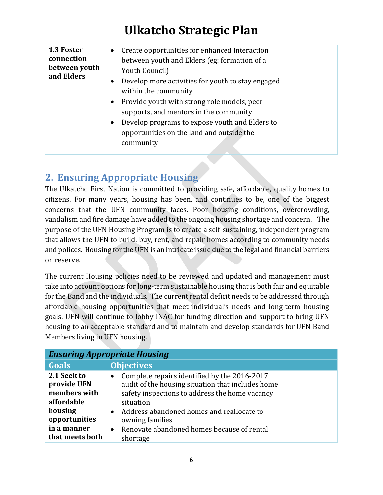| 1.3 Foster<br>connection<br>between youth<br>and Elders | Create opportunities for enhanced interaction<br>$\bullet$<br>between youth and Elders (eg: formation of a<br>Youth Council)<br>Develop more activities for youth to stay engaged<br>$\bullet$<br>within the community<br>Provide youth with strong role models, peer<br>$\bullet$<br>supports, and mentors in the community<br>Develop programs to expose youth and Elders to<br>$\bullet$<br>opportunities on the land and outside the<br>community |
|---------------------------------------------------------|-------------------------------------------------------------------------------------------------------------------------------------------------------------------------------------------------------------------------------------------------------------------------------------------------------------------------------------------------------------------------------------------------------------------------------------------------------|
|---------------------------------------------------------|-------------------------------------------------------------------------------------------------------------------------------------------------------------------------------------------------------------------------------------------------------------------------------------------------------------------------------------------------------------------------------------------------------------------------------------------------------|

#### **2. Ensuring Appropriate Housing**

The Ulkatcho First Nation is committed to providing safe, affordable, quality homes to citizens. For many years, housing has been, and continues to be, one of the biggest concerns that the UFN community faces. Poor housing conditions, overcrowding, vandalism and fire damage have added to the ongoing housing shortage and concern. The purpose of the UFN Housing Program is to create a self-sustaining, independent program that allows the UFN to build, buy, rent, and repair homes according to community needs and polices. Housing for the UFN is an intricate issue due to the legal and financial barriers on reserve.

The current Housing policies need to be reviewed and updated and management must take into account options for long-term sustainable housing that is both fair and equitable for the Band and the individuals. The current rental deficit needs to be addressed through affordable housing opportunities that meet individual's needs and long-term housing goals. UFN will continue to lobby INAC for funding direction and support to bring UFN housing to an acceptable standard and to maintain and develop standards for UFN Band Members living in UFN housing.

| <b>Ensuring Appropriate Housing</b>                                                                                    |                                                                                                                                                                                                                                                                                                                      |
|------------------------------------------------------------------------------------------------------------------------|----------------------------------------------------------------------------------------------------------------------------------------------------------------------------------------------------------------------------------------------------------------------------------------------------------------------|
| Goals                                                                                                                  | <b>Objectives</b>                                                                                                                                                                                                                                                                                                    |
| 2.1 Seek to<br>provide UFN<br>members with<br>affordable<br>housing<br>opportunities<br>in a manner<br>that meets both | Complete repairs identified by the 2016-2017<br>$\bullet$<br>audit of the housing situation that includes home<br>safety inspections to address the home vacancy<br>situation<br>Address abandoned homes and reallocate to<br>owning families<br>Renovate abandoned homes because of rental<br>$\bullet$<br>shortage |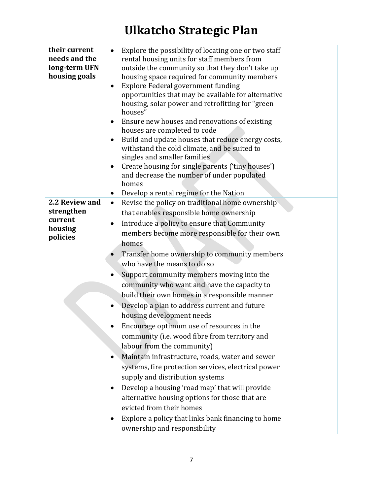| their current<br>needs and the<br>long-term UFN<br>housing goals | Explore the possibility of locating one or two staff<br>$\bullet$<br>rental housing units for staff members from<br>outside the community so that they don't take up<br>housing space required for community members<br>Explore Federal government funding<br>$\bullet$<br>opportunities that may be available for alternative<br>housing, solar power and retrofitting for "green<br>houses"<br>Ensure new houses and renovations of existing<br>$\bullet$<br>houses are completed to code<br>Build and update houses that reduce energy costs,<br>٠<br>withstand the cold climate, and be suited to<br>singles and smaller families<br>Create housing for single parents ('tiny houses')<br>$\bullet$<br>and decrease the number of under populated<br>homes<br>Develop a rental regime for the Nation<br>$\bullet$ |
|------------------------------------------------------------------|-----------------------------------------------------------------------------------------------------------------------------------------------------------------------------------------------------------------------------------------------------------------------------------------------------------------------------------------------------------------------------------------------------------------------------------------------------------------------------------------------------------------------------------------------------------------------------------------------------------------------------------------------------------------------------------------------------------------------------------------------------------------------------------------------------------------------|
| 2.2 Review and                                                   | Revise the policy on traditional home ownership<br>$\bullet$                                                                                                                                                                                                                                                                                                                                                                                                                                                                                                                                                                                                                                                                                                                                                          |
| strengthen                                                       | that enables responsible home ownership                                                                                                                                                                                                                                                                                                                                                                                                                                                                                                                                                                                                                                                                                                                                                                               |
| current                                                          | Introduce a policy to ensure that Community<br>$\bullet$                                                                                                                                                                                                                                                                                                                                                                                                                                                                                                                                                                                                                                                                                                                                                              |
| housing<br>policies                                              | members become more responsible for their own                                                                                                                                                                                                                                                                                                                                                                                                                                                                                                                                                                                                                                                                                                                                                                         |
|                                                                  | homes                                                                                                                                                                                                                                                                                                                                                                                                                                                                                                                                                                                                                                                                                                                                                                                                                 |
|                                                                  | Transfer home ownership to community members                                                                                                                                                                                                                                                                                                                                                                                                                                                                                                                                                                                                                                                                                                                                                                          |
|                                                                  | who have the means to do so                                                                                                                                                                                                                                                                                                                                                                                                                                                                                                                                                                                                                                                                                                                                                                                           |
|                                                                  | Support community members moving into the                                                                                                                                                                                                                                                                                                                                                                                                                                                                                                                                                                                                                                                                                                                                                                             |
|                                                                  | community who want and have the capacity to                                                                                                                                                                                                                                                                                                                                                                                                                                                                                                                                                                                                                                                                                                                                                                           |
|                                                                  | build their own homes in a responsible manner                                                                                                                                                                                                                                                                                                                                                                                                                                                                                                                                                                                                                                                                                                                                                                         |
|                                                                  | Develop a plan to address current and future<br>$\bullet$                                                                                                                                                                                                                                                                                                                                                                                                                                                                                                                                                                                                                                                                                                                                                             |
|                                                                  | housing development needs                                                                                                                                                                                                                                                                                                                                                                                                                                                                                                                                                                                                                                                                                                                                                                                             |
|                                                                  | Encourage optimum use of resources in the                                                                                                                                                                                                                                                                                                                                                                                                                                                                                                                                                                                                                                                                                                                                                                             |
|                                                                  | community (i.e. wood fibre from territory and                                                                                                                                                                                                                                                                                                                                                                                                                                                                                                                                                                                                                                                                                                                                                                         |
|                                                                  | labour from the community)                                                                                                                                                                                                                                                                                                                                                                                                                                                                                                                                                                                                                                                                                                                                                                                            |
|                                                                  | Maintain infrastructure, roads, water and sewer                                                                                                                                                                                                                                                                                                                                                                                                                                                                                                                                                                                                                                                                                                                                                                       |
|                                                                  | systems, fire protection services, electrical power                                                                                                                                                                                                                                                                                                                                                                                                                                                                                                                                                                                                                                                                                                                                                                   |
|                                                                  | supply and distribution systems                                                                                                                                                                                                                                                                                                                                                                                                                                                                                                                                                                                                                                                                                                                                                                                       |
|                                                                  | Develop a housing 'road map' that will provide<br>٠                                                                                                                                                                                                                                                                                                                                                                                                                                                                                                                                                                                                                                                                                                                                                                   |
|                                                                  | alternative housing options for those that are                                                                                                                                                                                                                                                                                                                                                                                                                                                                                                                                                                                                                                                                                                                                                                        |
|                                                                  | evicted from their homes                                                                                                                                                                                                                                                                                                                                                                                                                                                                                                                                                                                                                                                                                                                                                                                              |
|                                                                  | Explore a policy that links bank financing to home<br>ownership and responsibility                                                                                                                                                                                                                                                                                                                                                                                                                                                                                                                                                                                                                                                                                                                                    |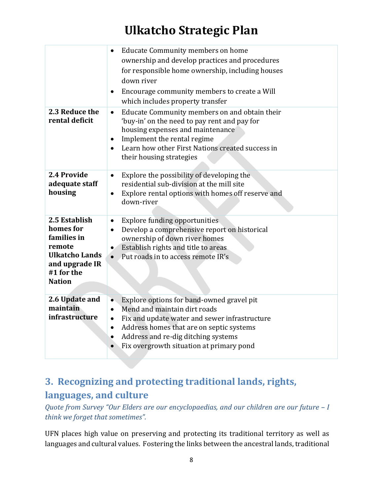|                                                                                                                               | <b>Educate Community members on home</b><br>ownership and develop practices and procedures<br>for responsible home ownership, including houses<br>down river<br>Encourage community members to create a Will<br>$\bullet$<br>which includes property transfer                                                 |
|-------------------------------------------------------------------------------------------------------------------------------|---------------------------------------------------------------------------------------------------------------------------------------------------------------------------------------------------------------------------------------------------------------------------------------------------------------|
| 2.3 Reduce the<br>rental deficit                                                                                              | Educate Community members on and obtain their<br>$\bullet$<br>'buy-in' on the need to pay rent and pay for<br>housing expenses and maintenance<br>Implement the rental regime<br>$\bullet$<br>Learn how other First Nations created success in<br>$\bullet$<br>their housing strategies                       |
| 2.4 Provide<br>adequate staff<br>housing                                                                                      | Explore the possibility of developing the<br>$\bullet$<br>residential sub-division at the mill site<br>Explore rental options with homes off reserve and<br>$\bullet$<br>down-river                                                                                                                           |
| 2.5 Establish<br>homes for<br>families in<br>remote<br><b>Ulkatcho Lands</b><br>and upgrade IR<br>#1 for the<br><b>Nation</b> | <b>Explore funding opportunities</b><br>$\bullet$<br>Develop a comprehensive report on historical<br>$\bullet$<br>ownership of down river homes<br>Establish rights and title to areas<br>$\bullet$<br>Put roads in to access remote IR's<br>$\bullet$                                                        |
| 2.6 Update and<br>maintain<br>infrastructure                                                                                  | Explore options for band-owned gravel pit<br>$\bullet$<br>Mend and maintain dirt roads<br>$\bullet$<br>Fix and update water and sewer infrastructure<br>$\bullet$<br>Address homes that are on septic systems<br>$\bullet$<br>Address and re-dig ditching systems<br>Fix overgrowth situation at primary pond |

#### **3. Recognizing and protecting traditional lands, rights, languages, and culture**

*Quote from Survey "Our Elders are our encyclopaedias, and our children are our future – I think we forget that sometimes".* 

UFN places high value on preserving and protecting its traditional territory as well as languages and cultural values. Fostering the links between the ancestral lands, traditional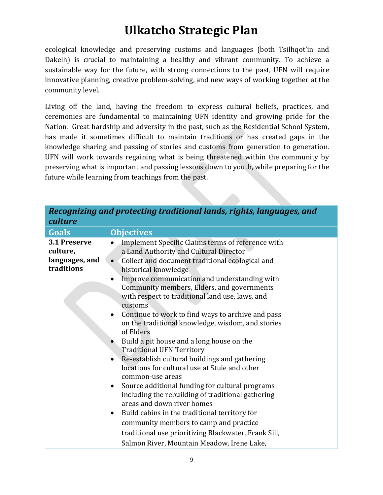ecological knowledge and preserving customs and languages (both Tsilhqot'in and Dakelh) is crucial to maintaining a healthy and vibrant community. To achieve a sustainable way for the future, with strong connections to the past, UFN will require innovative planning, creative problem-solving, and new ways of working together at the community level.

Living off the land, having the freedom to express cultural beliefs, practices, and ceremonies are fundamental to maintaining UFN identity and growing pride for the Nation. Great hardship and adversity in the past, such as the Residential School System, has made it sometimes difficult to maintain traditions or has created gaps in the knowledge sharing and passing of stories and customs from generation to generation. UFN will work towards regaining what is being threatened within the community by preserving what is important and passing lessons down to youth, while preparing for the future while learning from teachings from the past.

| culture                                                  | пссодный ана ргоссонд оганоонаганал гунолтиндиусэ) ана                                                                                                                                                                                                                                                                                                                                                                                                                                                                                                                                                                                                                                                                                                                                                                                                                                                                                                                                                                                                                   |
|----------------------------------------------------------|--------------------------------------------------------------------------------------------------------------------------------------------------------------------------------------------------------------------------------------------------------------------------------------------------------------------------------------------------------------------------------------------------------------------------------------------------------------------------------------------------------------------------------------------------------------------------------------------------------------------------------------------------------------------------------------------------------------------------------------------------------------------------------------------------------------------------------------------------------------------------------------------------------------------------------------------------------------------------------------------------------------------------------------------------------------------------|
| <b>Goals</b>                                             | <b>Objectives</b>                                                                                                                                                                                                                                                                                                                                                                                                                                                                                                                                                                                                                                                                                                                                                                                                                                                                                                                                                                                                                                                        |
| 3.1 Preserve<br>culture,<br>languages, and<br>traditions | Implement Specific Claims terms of reference with<br>a Land Authority and Cultural Director<br>Collect and document traditional ecological and<br>$\bullet$<br>historical knowledge<br>Improve communication and understanding with<br>$\bullet$<br>Community members, Elders, and governments<br>with respect to traditional land use, laws, and<br>customs<br>Continue to work to find ways to archive and pass<br>on the traditional knowledge, wisdom, and stories<br>of Elders<br>Build a pit house and a long house on the<br><b>Traditional UFN Territory</b><br>Re-establish cultural buildings and gathering<br>$\bullet$<br>locations for cultural use at Stuie and other<br>common-use areas<br>Source additional funding for cultural programs<br>$\bullet$<br>including the rebuilding of traditional gathering<br>areas and down river homes<br>Build cabins in the traditional territory for<br>$\bullet$<br>community members to camp and practice<br>traditional use prioritizing Blackwater, Frank Sill,<br>Salmon River, Mountain Meadow, Irene Lake, |

| Recognizing and protecting traditional lands, rights, languages, and |  |  |
|----------------------------------------------------------------------|--|--|
| culture                                                              |  |  |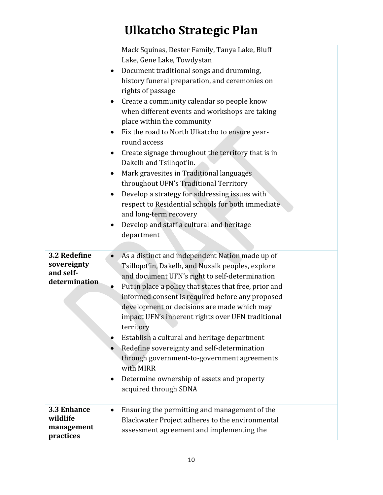|                                                           | Mack Squinas, Dester Family, Tanya Lake, Bluff<br>Lake, Gene Lake, Towdystan<br>Document traditional songs and drumming,<br>history funeral preparation, and ceremonies on<br>rights of passage<br>Create a community calendar so people know<br>when different events and workshops are taking<br>place within the community<br>Fix the road to North Ulkatcho to ensure year-<br>round access<br>Create signage throughout the territory that is in<br>$\bullet$<br>Dakelh and Tsilhqot'in.<br>Mark gravesites in Traditional languages<br>$\bullet$<br>throughout UFN's Traditional Territory<br>Develop a strategy for addressing issues with<br>$\bullet$<br>respect to Residential schools for both immediate<br>and long-term recovery<br>Develop and staff a cultural and heritage<br>department |
|-----------------------------------------------------------|----------------------------------------------------------------------------------------------------------------------------------------------------------------------------------------------------------------------------------------------------------------------------------------------------------------------------------------------------------------------------------------------------------------------------------------------------------------------------------------------------------------------------------------------------------------------------------------------------------------------------------------------------------------------------------------------------------------------------------------------------------------------------------------------------------|
| 3.2 Redefine<br>sovereignty<br>and self-<br>determination | As a distinct and independent Nation made up of<br>$\bullet$<br>Tsilhqot'in, Dakelh, and Nuxalk peoples, explore<br>and document UFN's right to self-determination<br>Put in place a policy that states that free, prior and<br>$\bullet$<br>informed consent is required before any proposed<br>development or decisions are made which may<br>impact UFN's inherent rights over UFN traditional<br>territory<br>Establish a cultural and heritage department<br>Redefine sovereignty and self-determination<br>through government-to-government agreements<br>with MIRR<br>Determine ownership of assets and property<br>acquired through SDNA                                                                                                                                                         |
| 3.3 Enhance<br>wildlife<br>management<br>practices        | Ensuring the permitting and management of the<br>$\bullet$<br>Blackwater Project adheres to the environmental<br>assessment agreement and implementing the                                                                                                                                                                                                                                                                                                                                                                                                                                                                                                                                                                                                                                               |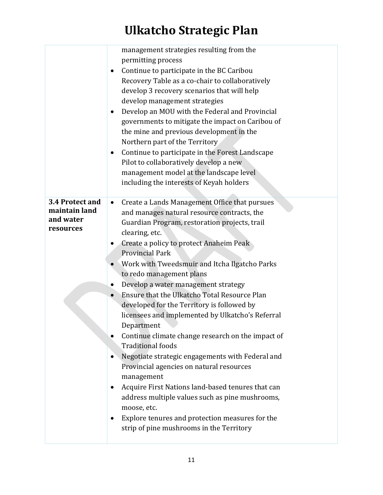|                                                            | management strategies resulting from the<br>permitting process<br>Continue to participate in the BC Caribou<br>Recovery Table as a co-chair to collaboratively<br>develop 3 recovery scenarios that will help<br>develop management strategies<br>Develop an MOU with the Federal and Provincial<br>$\bullet$<br>governments to mitigate the impact on Caribou of<br>the mine and previous development in the<br>Northern part of the Territory<br>Continue to participate in the Forest Landscape<br>$\bullet$<br>Pilot to collaboratively develop a new<br>management model at the landscape level<br>including the interests of Keyah holders                                                                                                                                                                                                                                                                                                           |
|------------------------------------------------------------|------------------------------------------------------------------------------------------------------------------------------------------------------------------------------------------------------------------------------------------------------------------------------------------------------------------------------------------------------------------------------------------------------------------------------------------------------------------------------------------------------------------------------------------------------------------------------------------------------------------------------------------------------------------------------------------------------------------------------------------------------------------------------------------------------------------------------------------------------------------------------------------------------------------------------------------------------------|
| 3.4 Protect and<br>maintain land<br>and water<br>resources | Create a Lands Management Office that pursues<br>$\bullet$<br>and manages natural resource contracts, the<br>Guardian Program, restoration projects, trail<br>clearing, etc.<br>Create a policy to protect Anaheim Peak<br><b>Provincial Park</b><br>Work with Tweedsmuir and Itcha Ilgatcho Parks<br>to redo management plans<br>Develop a water management strategy<br>Ensure that the Ulkatcho Total Resource Plan<br>developed for the Territory is followed by<br>licensees and implemented by Ulkatcho's Referral<br>Department<br>Continue climate change research on the impact of<br><b>Traditional foods</b><br>Negotiate strategic engagements with Federal and<br>Provincial agencies on natural resources<br>management<br>Acquire First Nations land-based tenures that can<br>address multiple values such as pine mushrooms,<br>moose, etc.<br>Explore tenures and protection measures for the<br>strip of pine mushrooms in the Territory |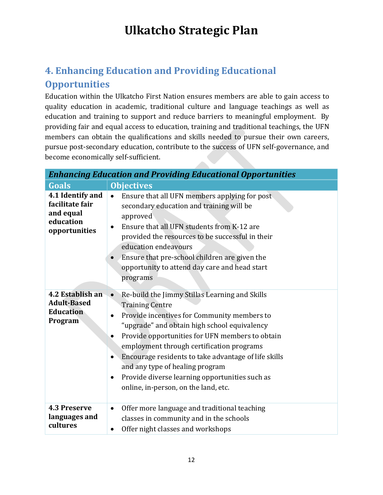#### **4. Enhancing Education and Providing Educational Opportunities**

Education within the Ulkatcho First Nation ensures members are able to gain access to quality education in academic, traditional culture and language teachings as well as education and training to support and reduce barriers to meaningful employment. By providing fair and equal access to education, training and traditional teachings, the UFN members can obtain the qualifications and skills needed to pursue their own careers, pursue post-secondary education, contribute to the success of UFN self-governance, and become economically self-sufficient.

| <b>Enhancing Education and Providing Educational Opportunities</b>             |                                                                                                                                                                                                                                                                                                                                                                                                                                                                                        |
|--------------------------------------------------------------------------------|----------------------------------------------------------------------------------------------------------------------------------------------------------------------------------------------------------------------------------------------------------------------------------------------------------------------------------------------------------------------------------------------------------------------------------------------------------------------------------------|
| <b>Goals</b>                                                                   | <b>Objectives</b>                                                                                                                                                                                                                                                                                                                                                                                                                                                                      |
| 4.1 Identify and<br>facilitate fair<br>and equal<br>education<br>opportunities | Ensure that all UFN members applying for post<br>$\bullet$<br>secondary education and training will be<br>approved<br>Ensure that all UFN students from K-12 are<br>$\bullet$<br>provided the resources to be successful in their<br>education endeavours<br>Ensure that pre-school children are given the<br>opportunity to attend day care and head start<br>programs                                                                                                                |
| 4.2 Establish an<br><b>Adult-Based</b><br><b>Education</b><br>Program          | Re-build the Jimmy Stillas Learning and Skills<br>$\bullet$<br><b>Training Centre</b><br>Provide incentives for Community members to<br>"upgrade" and obtain high school equivalency<br>Provide opportunities for UFN members to obtain<br>employment through certification programs<br>Encourage residents to take advantage of life skills<br>and any type of healing program<br>Provide diverse learning opportunities such as<br>$\bullet$<br>online, in-person, on the land, etc. |
| <b>4.3 Preserve</b><br>languages and<br>cultures                               | Offer more language and traditional teaching<br>$\bullet$<br>classes in community and in the schools<br>Offer night classes and workshops                                                                                                                                                                                                                                                                                                                                              |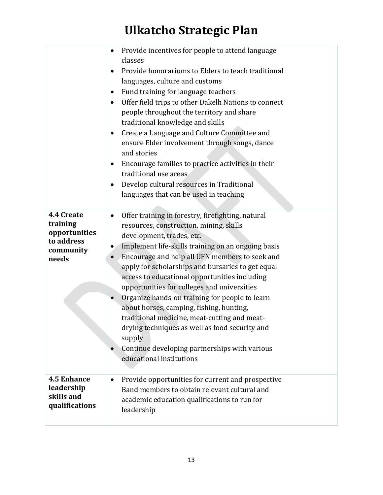|                                                                             | Provide incentives for people to attend language<br>classes<br>Provide honorariums to Elders to teach traditional<br>languages, culture and customs<br>Fund training for language teachers<br>Offer field trips to other Dakelh Nations to connect<br>people throughout the territory and share<br>traditional knowledge and skills<br>Create a Language and Culture Committee and<br>ensure Elder involvement through songs, dance<br>and stories<br>Encourage families to practice activities in their<br>٠<br>traditional use areas<br>Develop cultural resources in Traditional<br>languages that can be used in teaching                                                 |
|-----------------------------------------------------------------------------|-------------------------------------------------------------------------------------------------------------------------------------------------------------------------------------------------------------------------------------------------------------------------------------------------------------------------------------------------------------------------------------------------------------------------------------------------------------------------------------------------------------------------------------------------------------------------------------------------------------------------------------------------------------------------------|
| 4.4 Create<br>training<br>opportunities<br>to address<br>community<br>needs | Offer training in forestry, firefighting, natural<br>resources, construction, mining, skills<br>development, trades, etc.<br>Implement life-skills training on an ongoing basis<br>Encourage and help all UFN members to seek and<br>apply for scholarships and bursaries to get equal<br>access to educational opportunities including<br>opportunities for colleges and universities<br>Organize hands-on training for people to learn<br>about horses, camping, fishing, hunting,<br>traditional medicine, meat-cutting and meat-<br>drying techniques as well as food security and<br>supply<br>Continue developing partnerships with various<br>educational institutions |
| <b>4.5 Enhance</b><br>leadership<br>skills and<br>qualifications            | Provide opportunities for current and prospective<br>Band members to obtain relevant cultural and<br>academic education qualifications to run for<br>leadership                                                                                                                                                                                                                                                                                                                                                                                                                                                                                                               |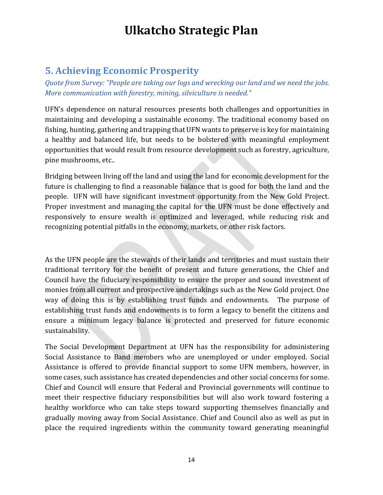#### **5. Achieving Economic Prosperity**

*Quote from Survey: "People are taking our logs and wrecking our land and we need the jobs. More communication with forestry, mining, silviculture is needed."* 

UFN's dependence on natural resources presents both challenges and opportunities in maintaining and developing a sustainable economy. The traditional economy based on fishing, hunting, gathering and trapping that UFN wants to preserve is key for maintaining a healthy and balanced life, but needs to be bolstered with meaningful employment opportunities that would result from resource development such as forestry, agriculture, pine mushrooms, etc..

Bridging between living off the land and using the land for economic development for the future is challenging to find a reasonable balance that is good for both the land and the people. UFN will have significant investment opportunity from the New Gold Project. Proper investment and managing the capital for the UFN must be done effectively and responsively to ensure wealth is optimized and leveraged, while reducing risk and recognizing potential pitfalls in the economy, markets, or other risk factors.

As the UFN people are the stewards of their lands and territories and must sustain their traditional territory for the benefit of present and future generations, the Chief and Council have the fiduciary responsibility to ensure the proper and sound investment of monies from all current and prospective undertakings such as the New Gold project. One way of doing this is by establishing trust funds and endowments. The purpose of establishing trust funds and endowments is to form a legacy to benefit the citizens and ensure a minimum legacy balance is protected and preserved for future economic sustainability.

The Social Development Department at UFN has the responsibility for administering Social Assistance to Band members who are unemployed or under employed. Social Assistance is offered to provide financial support to some UFN members, however, in some cases, such assistance has created dependencies and other social concerns for some. Chief and Council will ensure that Federal and Provincial governments will continue to meet their respective fiduciary responsibilities but will also work toward fostering a healthy workforce who can take steps toward supporting themselves financially and gradually moving away from Social Assistance. Chief and Council also as well as put in place the required ingredients within the community toward generating meaningful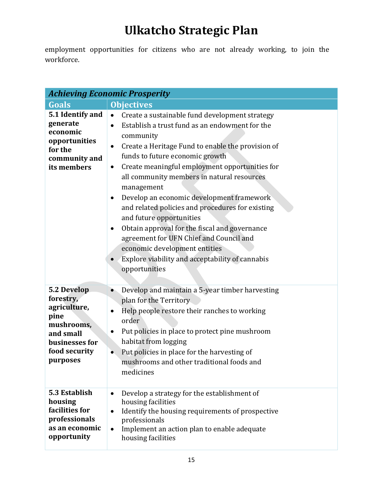employment opportunities for citizens who are not already working, to join the workforce.

| <b>Achieving Economic Prosperity</b>                                                                                       |                                                                                                                                                                                                                                                                                                                                                                                                                                                                                                                                                                                                                                                                                                            |  |
|----------------------------------------------------------------------------------------------------------------------------|------------------------------------------------------------------------------------------------------------------------------------------------------------------------------------------------------------------------------------------------------------------------------------------------------------------------------------------------------------------------------------------------------------------------------------------------------------------------------------------------------------------------------------------------------------------------------------------------------------------------------------------------------------------------------------------------------------|--|
| <b>Goals</b>                                                                                                               | <b>Objectives</b>                                                                                                                                                                                                                                                                                                                                                                                                                                                                                                                                                                                                                                                                                          |  |
| 5.1 Identify and<br>generate<br>economic<br>opportunities<br>for the<br>community and<br>its members                       | Create a sustainable fund development strategy<br>$\bullet$<br>Establish a trust fund as an endowment for the<br>$\bullet$<br>community<br>Create a Heritage Fund to enable the provision of<br>$\bullet$<br>funds to future economic growth<br>Create meaningful employment opportunities for<br>all community members in natural resources<br>management<br>Develop an economic development framework<br>٠<br>and related policies and procedures for existing<br>and future opportunities<br>Obtain approval for the fiscal and governance<br>$\bullet$<br>agreement for UFN Chief and Council and<br>economic development entities<br>Explore viability and acceptability of cannabis<br>opportunities |  |
| 5.2 Develop<br>forestry,<br>agriculture,<br>pine<br>mushrooms,<br>and small<br>businesses for<br>food security<br>purposes | Develop and maintain a 5-year timber harvesting<br>plan for the Territory<br>Help people restore their ranches to working<br>$\bullet$<br>order<br>Put policies in place to protect pine mushroom<br>habitat from logging<br>Put policies in place for the harvesting of<br>$\bullet$<br>mushrooms and other traditional foods and<br>medicines                                                                                                                                                                                                                                                                                                                                                            |  |
| 5.3 Establish<br>housing<br>facilities for<br>professionals<br>as an economic<br>opportunity                               | Develop a strategy for the establishment of<br>$\bullet$<br>housing facilities<br>Identify the housing requirements of prospective<br>$\bullet$<br>professionals<br>Implement an action plan to enable adequate<br>$\bullet$<br>housing facilities                                                                                                                                                                                                                                                                                                                                                                                                                                                         |  |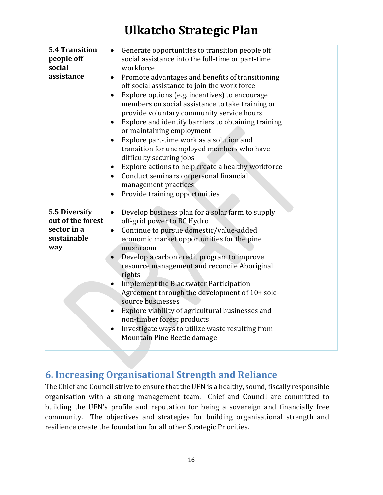| <b>5.4 Transition</b><br>Generate opportunities to transition people off<br>$\bullet$<br>people off<br>social assistance into the full-time or part-time<br>social<br>workforce<br>assistance<br>Promote advantages and benefits of transitioning<br>$\bullet$<br>off social assistance to join the work force<br>Explore options (e.g. incentives) to encourage<br>$\bullet$<br>members on social assistance to take training or<br>provide voluntary community service hours<br>Explore and identify barriers to obtaining training<br>$\bullet$<br>or maintaining employment<br>Explore part-time work as a solution and<br>$\bullet$<br>transition for unemployed members who have<br>difficulty securing jobs<br>Explore actions to help create a healthy workforce<br>$\bullet$<br>Conduct seminars on personal financial<br>$\bullet$<br>management practices<br>Provide training opportunities<br>$\bullet$<br>5.5 Diversify<br>Develop business plan for a solar farm to supply<br>$\bullet$<br>out of the forest<br>off-grid power to BC Hydro<br>sector in a<br>Continue to pursue domestic/value-added<br>$\bullet$<br>sustainable<br>economic market opportunities for the pine<br>mushroom<br>way<br>Develop a carbon credit program to improve<br>$\bullet$<br>resource management and reconcile Aboriginal<br>rights<br><b>Implement the Blackwater Participation</b><br>$\bullet$<br>Agreement through the development of 10+ sole-<br>source businesses<br>Explore viability of agricultural businesses and<br>$\bullet$<br>non-timber forest products<br>Investigate ways to utilize waste resulting from<br>$\bullet$<br>Mountain Pine Beetle damage |  |
|--------------------------------------------------------------------------------------------------------------------------------------------------------------------------------------------------------------------------------------------------------------------------------------------------------------------------------------------------------------------------------------------------------------------------------------------------------------------------------------------------------------------------------------------------------------------------------------------------------------------------------------------------------------------------------------------------------------------------------------------------------------------------------------------------------------------------------------------------------------------------------------------------------------------------------------------------------------------------------------------------------------------------------------------------------------------------------------------------------------------------------------------------------------------------------------------------------------------------------------------------------------------------------------------------------------------------------------------------------------------------------------------------------------------------------------------------------------------------------------------------------------------------------------------------------------------------------------------------------------------------------------------------------------------------|--|
|                                                                                                                                                                                                                                                                                                                                                                                                                                                                                                                                                                                                                                                                                                                                                                                                                                                                                                                                                                                                                                                                                                                                                                                                                                                                                                                                                                                                                                                                                                                                                                                                                                                                          |  |
|                                                                                                                                                                                                                                                                                                                                                                                                                                                                                                                                                                                                                                                                                                                                                                                                                                                                                                                                                                                                                                                                                                                                                                                                                                                                                                                                                                                                                                                                                                                                                                                                                                                                          |  |

#### **6. Increasing Organisational Strength and Reliance**

The Chief and Council strive to ensure that the UFN is a healthy, sound, fiscally responsible organisation with a strong management team. Chief and Council are committed to building the UFN's profile and reputation for being a sovereign and financially free community. The objectives and strategies for building organisational strength and resilience create the foundation for all other Strategic Priorities.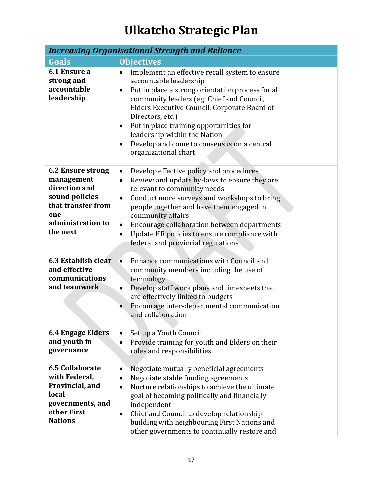| <b>Increasing Organisational Strength and Reliance</b>                                                                           |                                                                                                                                                                                                                                                                                                                                                                                                                                              |  |
|----------------------------------------------------------------------------------------------------------------------------------|----------------------------------------------------------------------------------------------------------------------------------------------------------------------------------------------------------------------------------------------------------------------------------------------------------------------------------------------------------------------------------------------------------------------------------------------|--|
| <b>Goals</b>                                                                                                                     | <b>Objectives</b>                                                                                                                                                                                                                                                                                                                                                                                                                            |  |
| 6.1 Ensure a<br>strong and<br>accountable<br>leadership                                                                          | Implement an effective recall system to ensure<br>accountable leadership<br>Put in place a strong orientation process for all<br>$\bullet$<br>community leaders (eg: Chief and Council,<br>Elders Executive Council, Corporate Board of<br>Directors, etc.)<br>Put in place training opportunities for<br>$\bullet$<br>leadership within the Nation<br>Develop and come to consensus on a central<br>$\bullet$<br>organizational chart       |  |
| 6.2 Ensure strong<br>management<br>direction and<br>sound policies<br>that transfer from<br>one<br>administration to<br>the next | Develop effective policy and procedures<br>$\bullet$<br>Review and update by-laws to ensure they are<br>$\bullet$<br>relevant to community needs<br>Conduct more surveys and workshops to bring<br>$\bullet$<br>people together and have them engaged in<br>community affairs<br>Encourage collaboration between departments<br>$\bullet$<br>Update HR policies to ensure compliance with<br>$\bullet$<br>federal and provincial regulations |  |
| 6.3 Establish clear<br>and effective<br>communications<br>and teamwork                                                           | Enhance communications with Council and<br>$\bullet$<br>community members including the use of<br>technology<br>Develop staff work plans and timesheets that<br>$\bullet$<br>are effectively linked to budgets<br>Encourage inter-departmental communication<br>$\bullet$<br>and collaboration                                                                                                                                               |  |
| <b>6.4 Engage Elders</b><br>and youth in<br>governance                                                                           | Set up a Youth Council<br>$\bullet$<br>Provide training for youth and Elders on their<br>roles and responsibilities                                                                                                                                                                                                                                                                                                                          |  |
| <b>6.5 Collaborate</b><br>with Federal,<br>Provincial, and<br>local<br>governments, and<br>other First<br><b>Nations</b>         | Negotiate mutually beneficial agreements<br>Negotiate stable funding agreements<br>Nurture relationships to achieve the ultimate<br>٠<br>goal of becoming politically and financially<br>independent<br>Chief and Council to develop relationship-<br>٠<br>building with neighbouring First Nations and<br>other governments to continually restore and                                                                                      |  |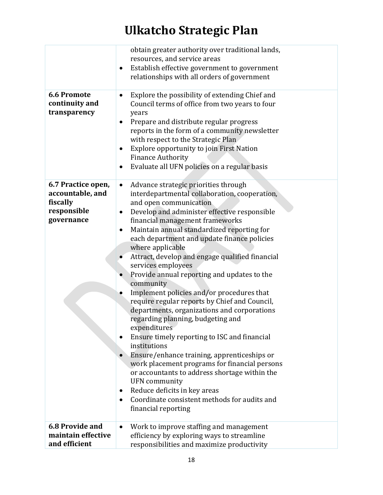|                                                                                 | obtain greater authority over traditional lands,<br>resources, and service areas<br>Establish effective government to government<br>relationships with all orders of government                                                                                                                                                                                                                                                                                                                                                                                                                                                                                                                                                                                                                                                                                                                                                                                                                                                                        |
|---------------------------------------------------------------------------------|--------------------------------------------------------------------------------------------------------------------------------------------------------------------------------------------------------------------------------------------------------------------------------------------------------------------------------------------------------------------------------------------------------------------------------------------------------------------------------------------------------------------------------------------------------------------------------------------------------------------------------------------------------------------------------------------------------------------------------------------------------------------------------------------------------------------------------------------------------------------------------------------------------------------------------------------------------------------------------------------------------------------------------------------------------|
| <b>6.6 Promote</b><br>continuity and<br>transparency                            | Explore the possibility of extending Chief and<br>٠<br>Council terms of office from two years to four<br>years<br>Prepare and distribute regular progress<br>$\bullet$<br>reports in the form of a community newsletter<br>with respect to the Strategic Plan<br>Explore opportunity to join First Nation<br>$\bullet$<br><b>Finance Authority</b><br>Evaluate all UFN policies on a regular basis<br>$\bullet$                                                                                                                                                                                                                                                                                                                                                                                                                                                                                                                                                                                                                                        |
| 6.7 Practice open,<br>accountable, and<br>fiscally<br>responsible<br>governance | Advance strategic priorities through<br>$\bullet$<br>interdepartmental collaboration, cooperation,<br>and open communication<br>Develop and administer effective responsible<br>$\bullet$<br>financial management frameworks<br>Maintain annual standardized reporting for<br>٠<br>each department and update finance policies<br>where applicable<br>Attract, develop and engage qualified financial<br>services employees<br>Provide annual reporting and updates to the<br>community<br>Implement policies and/or procedures that<br>require regular reports by Chief and Council,<br>departments, organizations and corporations<br>regarding planning, budgeting and<br>expenditures<br>Ensure timely reporting to ISC and financial<br>institutions<br>Ensure/enhance training, apprenticeships or<br>work placement programs for financial persons<br>or accountants to address shortage within the<br><b>UFN</b> community<br>Reduce deficits in key areas<br>Coordinate consistent methods for audits and<br>$\bullet$<br>financial reporting |
| <b>6.8 Provide and</b><br>maintain effective<br>and efficient                   | Work to improve staffing and management<br>$\bullet$<br>efficiency by exploring ways to streamline<br>responsibilities and maximize productivity                                                                                                                                                                                                                                                                                                                                                                                                                                                                                                                                                                                                                                                                                                                                                                                                                                                                                                       |